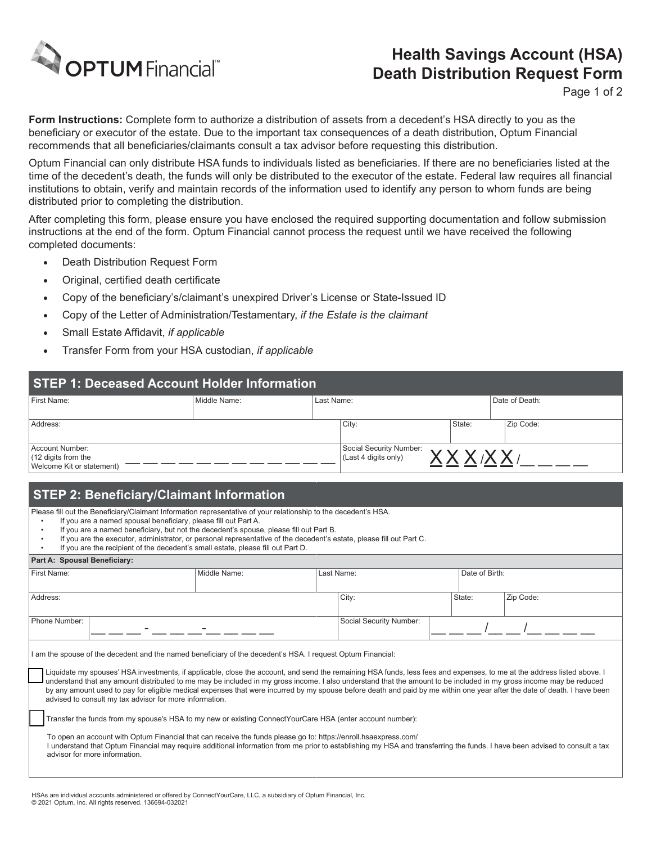

## **Health Savings Account (HSA) Death Distribution Request Form**

Page 1 of 2

**Form Instructions:** Complete form to authorize a distribution of assets from a decedent's HSA directly to you as the beneficiary or executor of the estate. Due to the important tax consequences of a death distribution, Optum Financial recommends that all beneficiaries/claimants consult a tax advisor before requesting this distribution.

Optum Financial can only distribute HSA funds to individuals listed as beneficiaries. If there are no beneficiaries listed at the time of the decedent's death, the funds will only be distributed to the executor of the estate. Federal law requires all financial institutions to obtain, verify and maintain records of the information used to identify any person to whom funds are being distributed prior to completing the distribution.

After completing this form, please ensure you have enclosed the required supporting documentation and follow submission instructions at the end of the form. Optum Financial cannot process the request until we have received the following completed documents:

- Death Distribution Request Form
- Original, certified death certificate
- Copy of the beneficiary's/claimant's unexpired Driver's License or State-Issued ID
- Copy of the Letter of Administration/Testamentary, *if the Estate is the claimant*
- Small Estate Affidavit, *if applicable*
- Transfer Form from your HSA custodian, *if applicable*

| STEP 1: Deceased Account Holder Information |              |                                     |                         |           |                |  |  |
|---------------------------------------------|--------------|-------------------------------------|-------------------------|-----------|----------------|--|--|
| First Name:                                 | Middle Name: | Last Name:                          |                         |           | Date of Death: |  |  |
|                                             |              |                                     |                         |           |                |  |  |
| Address:                                    |              | City:                               | State:                  | Zip Code: |                |  |  |
|                                             |              |                                     |                         |           |                |  |  |
| Account Number:                             |              |                                     | Social Security Number: |           |                |  |  |
| $(12$ digits from the                       |              | <b>VVVV</b><br>(Last 4 digits only) |                         |           |                |  |  |
| Welcome Kit or statement)                   |              |                                     |                         |           |                |  |  |

## **STEP 2: Beneficiary/Claimant Information**

Please fill out the Beneficiary/Claimant Information representative of your relationship to the decedent's HSA.

- If you are a named spousal beneficiary, please fill out Part A.
- If you are a named beneficiary, but not the decedent's spouse, please fill out Part B.
- If you are the executor, administrator, or personal representative of the decedent's estate, please fill out Part C.
- If you are the recipient of the decedent's small estate, please fill out Part D.

## **Part A: Spousal Beneficiary:**

advisor for more information.

| First Name:                                                                                                                                                                                                                                                                                                                                                                                                                                                                                                                                                                                                                                                                                        | Middle Name:                                                                                                                                                                                                                                                                                  |  | Last Name:              |  |        | Date of Birth: |  |
|----------------------------------------------------------------------------------------------------------------------------------------------------------------------------------------------------------------------------------------------------------------------------------------------------------------------------------------------------------------------------------------------------------------------------------------------------------------------------------------------------------------------------------------------------------------------------------------------------------------------------------------------------------------------------------------------------|-----------------------------------------------------------------------------------------------------------------------------------------------------------------------------------------------------------------------------------------------------------------------------------------------|--|-------------------------|--|--------|----------------|--|
| Address:                                                                                                                                                                                                                                                                                                                                                                                                                                                                                                                                                                                                                                                                                           |                                                                                                                                                                                                                                                                                               |  | City:                   |  | State: | Zip Code:      |  |
| Phone Number:                                                                                                                                                                                                                                                                                                                                                                                                                                                                                                                                                                                                                                                                                      |                                                                                                                                                                                                                                                                                               |  | Social Security Number: |  |        |                |  |
| am the spouse of the decedent and the named beneficiary of the decedent's HSA. I request Optum Financial:<br>Liquidate my spouses' HSA investments, if applicable, close the account, and send the remaining HSA funds, less fees and expenses, to me at the address listed above. I<br>understand that any amount distributed to me may be included in my gross income. I also understand that the amount to be included in my gross income may be reduced<br>by any amount used to pay for eligible medical expenses that were incurred by my spouse before death and paid by me within one year after the date of death. I have been<br>advised to consult my tax advisor for more information. |                                                                                                                                                                                                                                                                                               |  |                         |  |        |                |  |
|                                                                                                                                                                                                                                                                                                                                                                                                                                                                                                                                                                                                                                                                                                    | Transfer the funds from my spouse's HSA to my new or existing ConnectYourCare HSA (enter account number):                                                                                                                                                                                     |  |                         |  |        |                |  |
|                                                                                                                                                                                                                                                                                                                                                                                                                                                                                                                                                                                                                                                                                                    | To open an account with Optum Financial that can receive the funds please go to: https://enroll.hsaexpress.com/<br>I understand that Optum Financial may require additional information from me prior to establishing my HSA and transferring the funds. I have been advised to consult a tax |  |                         |  |        |                |  |